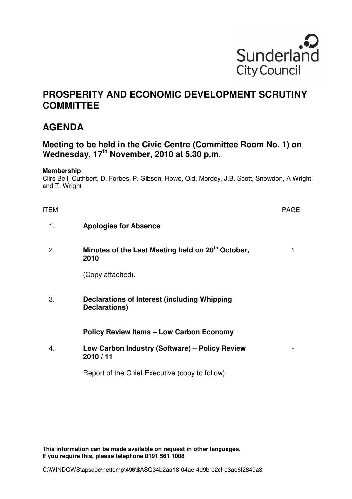

## **PROSPERITY AND ECONOMIC DEVELOPMENT SCRUTINY COMMITTEE**

## **AGENDA**

## **Meeting to be held in the Civic Centre (Committee Room No. 1) on Wednesday, 17th November, 2010 at 5.30 p.m.**

## **Membership**

Cllrs Bell, Cuthbert, D. Forbes, P. Gibson, Howe, Old, Mordey, J.B. Scott, Snowdon, A Wright and T. Wright

| <b>ITEM</b> |                                                                       | <b>PAGE</b> |
|-------------|-----------------------------------------------------------------------|-------------|
| 1.          | <b>Apologies for Absence</b>                                          |             |
| 2.          | Minutes of the Last Meeting held on 20 <sup>th</sup> October,<br>2010 |             |
|             | (Copy attached).                                                      |             |
| 3.          | Declarations of Interest (including Whipping<br>Declarations)         |             |
|             | <b>Policy Review Items - Low Carbon Economy</b>                       |             |
| 4.          | Low Carbon Industry (Software) – Policy Review<br>2010/11             |             |
|             | Report of the Chief Executive (copy to follow).                       |             |

**This information can be made available on request in other languages. If you require this, please telephone 0191 561 1008**